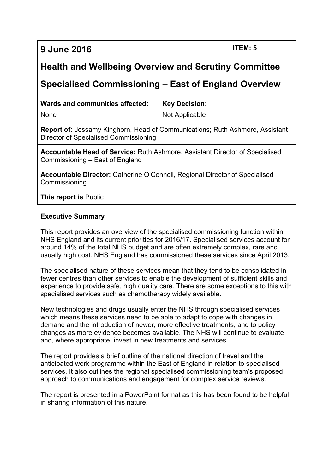**9 June 2016 ITEM: 5**

# **Health and Wellbeing Overview and Scrutiny Committee**

## **Specialised Commissioning – East of England Overview**

| Wards and communities affected: | <b>Key Decision:</b> |
|---------------------------------|----------------------|
| None                            | Not Applicable       |

**Report of:** Jessamy Kinghorn, Head of Communications; Ruth Ashmore, Assistant Director of Specialised Commissioning

**Accountable Head of Service:** Ruth Ashmore, Assistant Director of Specialised Commissioning – East of England

**Accountable Director:** Catherine O'Connell, Regional Director of Specialised Commissioning

**This report is** Public

#### **Executive Summary**

This report provides an overview of the specialised commissioning function within NHS England and its current priorities for 2016/17. Specialised services account for around 14% of the total NHS budget and are often extremely complex, rare and usually high cost. NHS England has commissioned these services since April 2013.

The specialised nature of these services mean that they tend to be consolidated in fewer centres than other services to enable the development of sufficient skills and experience to provide safe, high quality care. There are some exceptions to this with specialised services such as chemotherapy widely available.

New technologies and drugs usually enter the NHS through specialised services which means these services need to be able to adapt to cope with changes in demand and the introduction of newer, more effective treatments, and to policy changes as more evidence becomes available. The NHS will continue to evaluate and, where appropriate, invest in new treatments and services.

The report provides a brief outline of the national direction of travel and the anticipated work programme within the East of England in relation to specialised services. It also outlines the regional specialised commissioning team's proposed approach to communications and engagement for complex service reviews.

The report is presented in a PowerPoint format as this has been found to be helpful in sharing information of this nature.